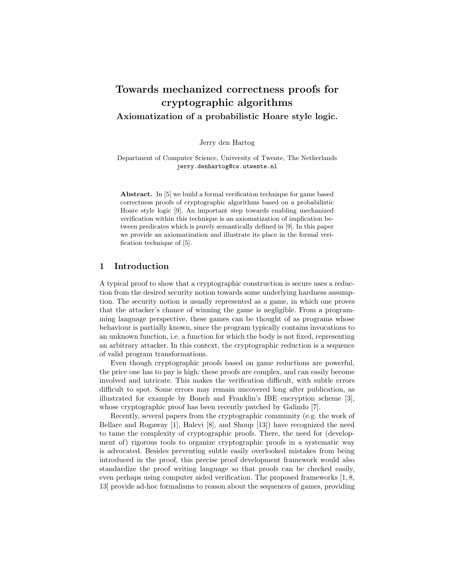# Towards mechanized correctness proofs for cryptographic algorithms Axiomatization of a probabilistic Hoare style logic.

Jerry den Hartog

Department of Computer Science, University of Twente, The Netherlands jerry.denhartog@cs.utwente.nl

Abstract. In [5] we build a formal verification technique for game based correctness proofs of cryptographic algorithms based on a probabilistic Hoare style logic [9]. An important step towards enabling mechanized verification within this technique is an axiomatization of implication between predicates which is purely semantically defined in [9]. In this paper we provide an axiomatization and illustrate its place in the formal verification technique of [5].

### 1 Introduction

A typical proof to show that a cryptographic construction is secure uses a reduction from the desired security notion towards some underlying hardness assumption. The security notion is usually represented as a game, in which one proves that the attacker's chance of winning the game is negligible. From a programming language perspective, these games can be thought of as programs whose behaviour is partially known, since the program typically contains invocations to an unknown function, i.e. a function for which the body is not fixed, representing an arbitrary attacker. In this context, the cryptographic reduction is a sequence of valid program transformations.

Even though cryptographic proofs based on game reductions are powerful, the price one has to pay is high: these proofs are complex, and can easily become involved and intricate. This makes the verification difficult, with subtle errors difficult to spot. Some errors may remain uncovered long after publication, as illustrated for example by Boneh and Franklin's IBE encryption scheme [3], whose cryptographic proof has been recently patched by Galindo [7].

Recently, several papers from the cryptographic community (e.g. the work of Bellare and Rogaway [1], Halevi [8], and Shoup [13]) have recognized the need to tame the complexity of cryptographic proofs. There, the need for (development of) rigorous tools to organize cryptographic proofs in a systematic way is advocated. Besides preventing subtle easily overlooked mistakes from being introduced in the proof, this precise proof development framework would also standardize the proof writing language so that proofs can be checked easily, even perhaps using computer aided verification. The proposed frameworks [1, 8, 13] provide ad-hoc formalisms to reason about the sequences of games, providing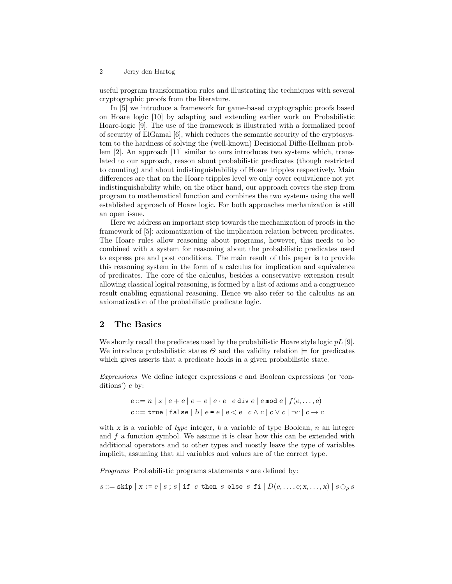useful program transformation rules and illustrating the techniques with several cryptographic proofs from the literature.

In [5] we introduce a framework for game-based cryptographic proofs based on Hoare logic [10] by adapting and extending earlier work on Probabilistic Hoare-logic [9]. The use of the framework is illustrated with a formalized proof of security of ElGamal [6], which reduces the semantic security of the cryptosystem to the hardness of solving the (well-known) Decisional Diffie-Hellman problem [2]. An approach [11] similar to ours introduces two systems which, translated to our approach, reason about probabilistic predicates (though restricted to counting) and about indistinguishability of Hoare tripples respectively. Main differences are that on the Hoare tripples level we only cover equivalence not yet indistinguishability while, on the other hand, our approach covers the step from program to mathematical function and combines the two systems using the well established approach of Hoare logic. For both approaches mechanization is still an open issue.

Here we address an important step towards the mechanization of proofs in the framework of [5]: axiomatization of the implication relation between predicates. The Hoare rules allow reasoning about programs, however, this needs to be combined with a system for reasoning about the probabilistic predicates used to express pre and post conditions. The main result of this paper is to provide this reasoning system in the form of a calculus for implication and equivalence of predicates. The core of the calculus, besides a conservative extension result allowing classical logical reasoning, is formed by a list of axioms and a congruence result enabling equational reasoning. Hence we also refer to the calculus as an axiomatization of the probabilistic predicate logic.

# 2 The Basics

We shortly recall the predicates used by the probabilistic Hoare style logic  $pL$  [9]. We introduce probabilistic states  $\Theta$  and the validity relation  $\models$  for predicates which gives asserts that a predicate holds in a given probabilistic state.

Expressions We define integer expressions e and Boolean expressions (or 'conditions') c by:

$$
e ::= n | x | e + e | e - e | e \cdot e | e \text{ div } e | e \text{ mod } e | f(e, \dots, e)
$$
  

$$
c ::= \texttt{true} | \texttt{false} | b | e = e | e \lt e | c \land c | c \lor c | \neg c | c \rightarrow c
$$

with x is a variable of type integer, b a variable of type Boolean,  $n$  an integer and f a function symbol. We assume it is clear how this can be extended with additional operators and to other types and mostly leave the type of variables implicit, assuming that all variables and values are of the correct type.

Programs Probabilistic programs statements s are defined by:

 $s ::=$ skip  $|x := e | s$ ; s if c then s else s fi  $|D(e, \ldots, e; x, \ldots, x)| s \oplus_{\rho} s$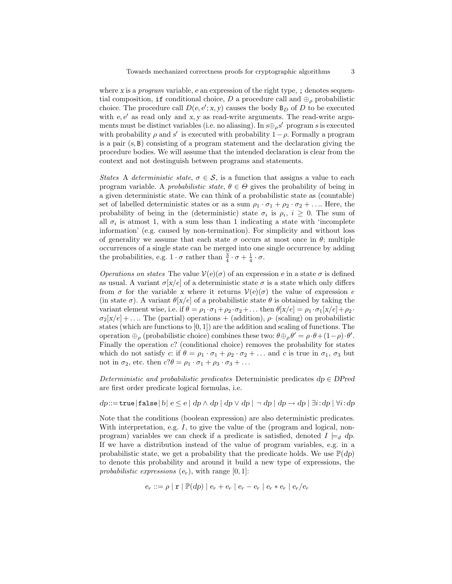where x is a *program* variable, e an expression of the right type, ; denotes sequential composition, if conditional choice, D a procedure call and  $\oplus_{\rho}$  probabilistic choice. The procedure call  $D(e, e'; x, y)$  causes the body  $B_D$  of D to be executed with  $e, e'$  as read only and x, y as read-write arguments. The read-write arguments must be distinct variables (i.e. no aliasing). In  $s \oplus_{\rho} s'$  program s is executed with probability  $\rho$  and s' is executed with probability  $1-\rho$ . Formally a program is a pair  $(s, B)$  consisting of a program statement and the declaration giving the procedure bodies. We will assume that the intended declaration is clear from the context and not destinguish between programs and statements.

States A deterministic state,  $\sigma \in \mathcal{S}$ , is a function that assigns a value to each program variable. A probabilistic state,  $\theta \in \Theta$  gives the probability of being in a given deterministic state. We can think of a probabilistic state as (countable) set of labelled deterministic states or as a sum  $\rho_1 \cdot \sigma_1 + \rho_2 \cdot \sigma_2 + \ldots$  Here, the probability of being in the (deterministic) state  $\sigma_i$  is  $\rho_i$ ,  $i \geq 0$ . The sum of all  $\sigma_i$  is atmost 1, with a sum less than 1 indicating a state with 'incomplete information' (e.g. caused by non-termination). For simplicity and without loss of generality we assume that each state  $\sigma$  occurs at most once in  $\theta$ ; multiple occurrences of a single state can be merged into one single occurrence by adding the probabilities, e.g.  $1 \cdot \sigma$  rather than  $\frac{3}{4} \cdot \sigma + \frac{1}{4} \cdot \sigma$ .

*Operations on states* The value  $V(e)(\sigma)$  of an expression e in a state  $\sigma$  is defined as usual. A variant  $\sigma[x/e]$  of a deterministic state  $\sigma$  is a state which only differs from  $\sigma$  for the variable x where it returns  $\mathcal{V}(e)(\sigma)$  the value of expression e (in state  $\sigma$ ). A variant  $\theta$ [x/e] of a probabilistic state  $\theta$  is obtained by taking the variant element wise, i.e. if  $\theta = \rho_1 \cdot \sigma_1 + \rho_2 \cdot \sigma_2 + \ldots$  then  $\theta[x/e] = \rho_1 \cdot \sigma_1[x/e] + \rho_2 \cdot$  $\sigma_2[x/e] + \ldots$  The (partial) operations + (addition),  $\rho$  (scaling) on probabilistic states (which are functions to  $(0, 1)$ ) are the addition and scaling of functions. The operation  $\oplus_{\rho}$  (probabilistic choice) combines these two:  $\theta \oplus_{\rho} \theta' = \rho \cdot \theta + (1-\rho) \cdot \theta'$ . Finally the operation  $c$ ? (conditional choice) removes the probability for states which do not satisfy c: if  $\theta = \rho_1 \cdot \sigma_1 + \rho_2 \cdot \sigma_2 + \ldots$  and c is true in  $\sigma_1$ ,  $\sigma_3$  but not in  $\sigma_2$ , etc. then  $c?\theta = \rho_1 \cdot \sigma_1 + \rho_3 \cdot \sigma_3 + \dots$ 

Deterministic and probabilistic predicates Deterministic predicates  $dp \in DPred$ are first order predicate logical formulas, i.e.

 $dp::=true|false|b|e \leq e | dp \wedge dp | dp \vee dp | \neg dp | dp \rightarrow dp | \exists i:dp | \forall i:dp$ 

Note that the conditions (boolean expression) are also deterministic predicates. With interpretation, e.g. I, to give the value of the (program and logical, nonprogram) variables we can check if a predicate is satisfied, denoted  $I \models_d dp$ . If we have a distribution instead of the value of program variables, e.g. in a probabilistic state, we get a probability that the predicate holds. We use  $\mathbb{P}(dp)$ to denote this probability and around it build a new type of expressions, the probabilistic expressions  $(e_r)$ , with range  $[0, 1]$ :

$$
e_r ::= \rho | \mathbf{r} | \mathbb{P}(dp) | e_r + e_r | e_r - e_r | e_r * e_r | e_r / e_r
$$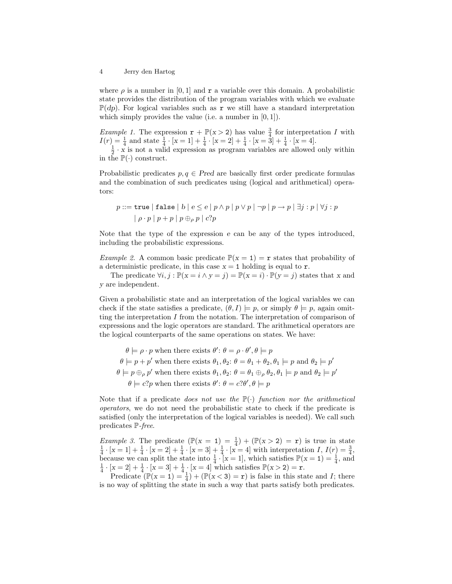where  $\rho$  is a number in [0, 1] and  $\bf{r}$  a variable over this domain. A probabilistic state provides the distribution of the program variables with which we evaluate  $\mathbb{P}(dp)$ . For logical variables such as r we still have a standard interpretation which simply provides the value (i.e. a number in  $[0, 1]$ ).

*Example 1*. The expression  $\mathbf{r} + \mathbb{P}(x > 2)$  has value  $\frac{3}{4}$  for interpretation I with  $I(r) = \frac{1}{4}$  and state  $\frac{1}{4} \cdot [x = 1] + \frac{1}{4} \cdot [x = 2] + \frac{1}{4} \cdot [x = 3] + \frac{1}{4} \cdot [x = 4]$ .<br> $\frac{1}{2} \cdot x$  is not a valid expression as program variables are allowed only within

in the  $\mathbb{P}(\cdot)$  construct.

Probabilistic predicates  $p, q \in Pred$  are basically first order predicate formulas and the combination of such predicates using (logical and arithmetical) operators:

$$
p ::= \texttt{true} \mid \texttt{false} \mid b \mid e \leq e \mid p \land p \mid p \lor p \mid \neg p \mid p \to p \mid \exists j : p \mid \forall j : p
$$

$$
\mid \rho \cdot p \mid p + p \mid p \oplus_{\rho} p \mid c?p
$$

Note that the type of the expression e can be any of the types introduced, including the probabilistic expressions.

*Example 2.* A common basic predicate  $\mathbb{P}(x = 1) = \mathbf{r}$  states that probability of a deterministic predicate, in this case  $x = 1$  holding is equal to r.

The predicate  $\forall i, j : \mathbb{P}(x = i \land y = j) = \mathbb{P}(x = i) \cdot \mathbb{P}(y = j)$  states that x and y are independent.

Given a probabilistic state and an interpretation of the logical variables we can check if the state satisfies a predicate,  $(\theta, I) \models p$ , or simply  $\theta \models p$ , again omitting the interpretation  $I$  from the notation. The interpretation of comparison of expressions and the logic operators are standard. The arithmetical operators are the logical counterparts of the same operations on states. We have:

 $\theta \models \rho \cdot p$  when there exists  $\theta' : \theta = \rho \cdot \theta', \theta \models p$  $\theta \models p + p'$  when there exists  $\theta_1, \theta_2$ :  $\theta = \theta_1 + \theta_2, \theta_1 \models p$  and  $\theta_2 \models p'$  $\theta \models p \oplus_{\rho} p'$  when there exists  $\theta_1, \theta_2$ :  $\theta = \theta_1 \oplus_{\rho} \theta_2, \theta_1 \models p$  and  $\theta_2 \models p'$  $\theta \models c$ ? p when there exists  $\theta$ :  $\theta = c$ ? $\theta$ ',  $\theta \models p$ 

Note that if a predicate *does not use the*  $\mathbb{P}(\cdot)$  *function nor the arithmetical* operators, we do not need the probabilistic state to check if the predicate is satisfied (only the interpretation of the logical variables is needed). We call such predicates P-free.

*Example 3.* The predicate  $(\mathbb{P}(x = 1) = \frac{1}{4}) + (\mathbb{P}(x > 2) = \mathbf{r})$  is true in state Example 5: The predicate  $\left(\frac{\pi}{4} \cdot (x - 1) - \frac{\pi}{4}\right) + \left(\frac{\pi}{4} \cdot (x - 2) - 1\right)$  is the in-state<br> $\frac{1}{4} \cdot [x = 1] + \frac{1}{4} \cdot [x = 2] + \frac{1}{4} \cdot [x = 3] + \frac{1}{4} \cdot [x = 4]$  with interpretation  $I, I(r) = \frac{3}{4}$ , because we can split the state into  $\frac{1}{4} \cdot [x = 1]$ , which satisfies  $\mathbb{P}(x = 1) = \frac{1}{4}$ , and  $\frac{1}{4} \cdot [x = 2] + \frac{1}{4} \cdot [x = 3] + \frac{1}{4} \cdot [x = 4]$  which satisfies  $\mathbb{P}(x > 2) = r$ .

Predicate  $(\mathbb{P}(x=1) = \frac{1}{4}) + (\mathbb{P}(x<3) = r)$  is false in this state and I; there is no way of splitting the state in such a way that parts satisfy both predicates.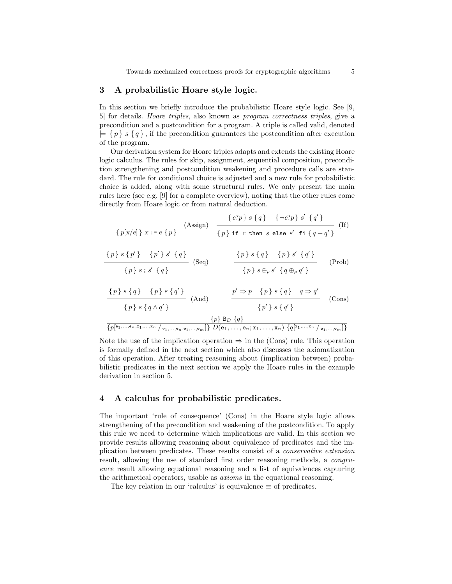### 3 A probabilistic Hoare style logic.

In this section we briefly introduce the probabilistic Hoare style logic. See [9, 5] for details. Hoare triples, also known as program correctness triples, give a precondition and a postcondition for a program. A triple is called valid, denoted  $= \{ p \} s \{ q \},\$ if the precondition guarantees the postcondition after execution of the program.

Our derivation system for Hoare triples adapts and extends the existing Hoare logic calculus. The rules for skip, assignment, sequential composition, precondition strengthening and postcondition weakening and procedure calls are standard. The rule for conditional choice is adjusted and a new rule for probabilistic choice is added, along with some structural rules. We only present the main rules here (see e.g. [9] for a complete overview), noting that the other rules come directly from Hoare logic or from natural deduction.

$$
\frac{\{c?p\} s \{q\} \{-c?p\} s' \{q'\}}{\{p\} s \{p'\} \{p'\} s' \{q\}} \text{ (If)}
$$
\n
$$
\frac{\{p\} s \{p'\} \{p\} \text{ if } c \text{ then } s \text{ else } s' \text{ if } \{q+q'\}}}{\{p\} s \{p'\} \{q\}} \text{ (Eq)}
$$
\n
$$
\frac{\{p\} s \{q\}}{\{p\} s \{q\}} \text{ (Seq)}
$$
\n
$$
\frac{\{p\} s \{q\} \{p\} s' \{q'\}}{\{p\} s \{q\} s' \{q'\}} \text{ (Prob)}
$$
\n
$$
\frac{\{p\} s \{q\} \{p\} s' \{q'\}}{\{p\} s \{q'\} s' \{q'\}} \text{ (Ans)}
$$
\n
$$
\frac{\{p\} s \{q\} \{p\} s' \{q'\}}{\{p'\} s' \{q'\} s' \{q'\}} \text{ (Cons)}
$$
\n
$$
\frac{\{p\} s \{q\} s' \{q'\} s' \{q'\} s' \{q'\} s' \{q'\} s' \{q'\} s' \{q'\} s' \{q'\} s' \{q'\} s' \{q'\} s' \{q'\} s' \{q'\} s' \{q'\} s' \{q'\} s' \{q'\} s' \{q'\} s' \{q'\} s' \{q'\} s' \{q'\} s' \{q'\} s' \{q'\} s' \{q'\} s' \{q'\} s' \{q'\} s' \{q'\} s' \{q'\} s' \{q'\} s' \{q'\} s' \{q'\} s' \{q'\} s' \{q'\} s' \{q'\} s' \{q'\} s' \{q'\} s' \{q'\} s' \{q'\} s' \{q'\} s' \{q'\} s' \{q'\} s' \{q'\} s' \{q'\} s' \{q'\} s' \{q'\} s' \{q'\} s' \{q'\} s' \{q'\} s' \{q'\} s' \{q'\} s' \{q'\} s' \{q'\} s' \{q'\} s' \{q'\} s' \{q'\} s' \{q'\} s' \{q'\} s' \{q'\} s' \{q'\
$$

Note the use of the implication operation  $\Rightarrow$  in the (Cons) rule. This operation is formally defined in the next section which also discusses the axiomatization of this operation. After treating reasoning about (implication between) probabilistic predicates in the next section we apply the Hoare rules in the example derivation in section 5.

### 4 A calculus for probabilistic predicates.

The important 'rule of consequence' (Cons) in the Hoare style logic allows strengthening of the precondition and weakening of the postcondition. To apply this rule we need to determine which implications are valid. In this section we provide results allowing reasoning about equivalence of predicates and the implication between predicates. These results consist of a conservative extension result, allowing the use of standard first order reasoning methods, a *congru*ence result allowing equational reasoning and a list of equivalences capturing the arithmetical operators, usable as axioms in the equational reasoning.

The key relation in our 'calculus' is equivalence  $\equiv$  of predicates.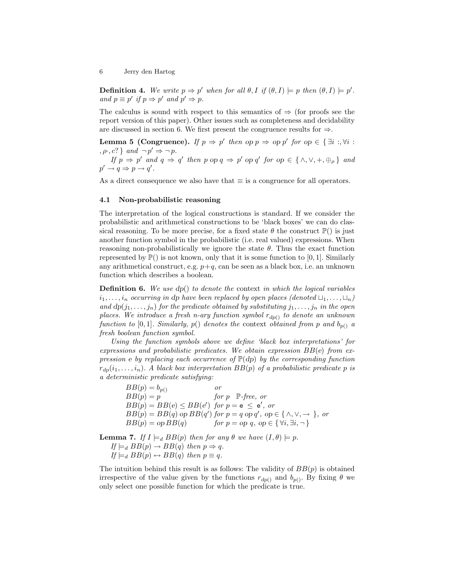**Definition 4.** We write  $p \Rightarrow p'$  when for all  $\theta, I$  if  $(\theta, I) \models p$  then  $(\theta, I) \models p'$ . and  $p \equiv p'$  if  $p \Rightarrow p'$  and  $p' \Rightarrow p$ .

The calculus is sound with respect to this semantics of  $\Rightarrow$  (for proofs see the report version of this paper). Other issues such as completeness and decidability are discussed in section 6. We first present the congruence results for  $\Rightarrow$ .

**Lemma 5 (Congruence).** If  $p \Rightarrow p'$  then op  $p \Rightarrow pp'$  for  $op \in {\exists i : , \forall i :}$  $, \rho, c$ ? } and  $\neg p' \Rightarrow \neg p$ .

If  $p \Rightarrow p'$  and  $q \Rightarrow q'$  then p op  $q \Rightarrow p'$  op  $q'$  for op  $\in \{\wedge, \vee, +, \oplus_{\rho}\}\$  and  $p' \rightarrow q \Rightarrow p \rightarrow q'.$ 

As a direct consequence we also have that  $\equiv$  is a congruence for all operators.

#### 4.1 Non-probabilistic reasoning

The interpretation of the logical constructions is standard. If we consider the probabilistic and arithmetical constructions to be 'black boxes' we can do classical reasoning. To be more precise, for a fixed state  $\theta$  the construct  $\mathbb{P}()$  is just another function symbol in the probabilistic (i.e. real valued) expressions. When reasoning non-probabilistically we ignore the state  $\theta$ . Thus the exact function represented by  $\mathbb{P}()$  is not known, only that it is some function to [0, 1]. Similarly any arithmetical construct, e.g.  $p+q$ , can be seen as a black box, i.e. an unknown function which describes a boolean.

**Definition 6.** We use  $dp()$  to denote the context in which the logical variables  $i_1, \ldots, i_n$  occurring in dp have been replaced by open places (denoted  $\sqcup_1, \ldots, \sqcup_n$ ) and  $dp(j_1, \ldots, j_n)$  for the predicate obtained by substituting  $j_1, \ldots, j_n$  in the open places. We introduce a fresh n-ary function symbol  $r_{dp()}$  to denote an unknown function to [0, 1]. Similarly,  $p()$  denotes the context obtained from p and  $b_{p()}$  a fresh boolean function symbol.

Using the function symbols above we define 'black box interpretations' for expressions and probabilistic predicates. We obtain expression  $BB(e)$  from expression e by replacing each occurrence of  $\mathbb{P}(dp)$  by the corresponding function  $r_{dp}(i_1,\ldots,i_n)$ . A black box interpretation  $BB(p)$  of a probabilistic predicate p is a deterministic predicate satisfying:

 $BB(p) = b_{p()}$  $BB(p) = p$  for p P-free, or  $BB(p) = BB(e) \le BB(e')$  for  $p = e \le e'$ , or  $BB(p) = BB(q)$  op  $BB(q')$  for  $p = q$  op  $q'$ , op  $\in \{\land, \lor, \rightarrow\}$ , or  $BB(p) = op BB(q)$  for  $p = op q$ , op  $\in \{ \forall i, \exists i, \neg \}$ 

**Lemma 7.** If  $I \models_d BB(p)$  then for any  $\theta$  we have  $(I, \theta) \models p$ .  $If \models_d BB(p) \rightarrow BB(q)$  then  $p \Rightarrow q$ .  $If \models_d BB(p) \leftrightarrow BB(q)$  then  $p \equiv q$ .

The intuition behind this result is as follows: The validity of  $BB(p)$  is obtained irrespective of the value given by the functions  $r_{dp()}$  and  $b_{p()}$ . By fixing  $\theta$  we only select one possible function for which the predicate is true.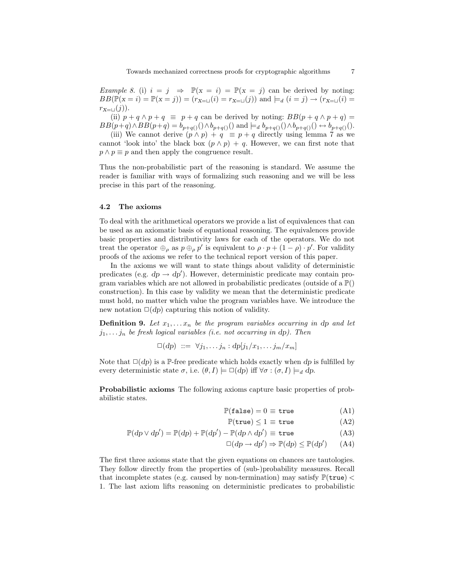Example 8. (i)  $i = j \Rightarrow \mathbb{P}(x = i) = \mathbb{P}(x = j)$  can be derived by noting:  $BB(\mathbb{P}(x = i) = \mathbb{P}(x = j)) = (r_{X=\sqcup}(i) = r_{X=\sqcup}(j))$  and  $\models_d (i = j) \rightarrow (r_{X=\sqcup}(i) =$  $r_{X=\sqcup}(j)$ ).

(ii)  $p + q \wedge p + q \equiv p + q$  can be derived by noting:  $BB(p + q \wedge p + q) =$  $BB(p+q)\wedge BB(p+q) = b_{p+q()})\wedge b_{p+q()}$  and  $\models_d b_{p+q()})\wedge b_{p+q()}$   $\rightarrow b_{p+q()}$ .

(iii) We cannot derive  $(p \wedge p) + q \equiv p + q$  directly using lemma 7 as we cannot 'look into' the black box  $(p \wedge p) + q$ . However, we can first note that  $p \wedge p \equiv p$  and then apply the congruence result.

Thus the non-probabilistic part of the reasoning is standard. We assume the reader is familiar with ways of formalizing such reasoning and we will be less precise in this part of the reasoning.

#### 4.2 The axioms

To deal with the arithmetical operators we provide a list of equivalences that can be used as an axiomatic basis of equational reasoning. The equivalences provide basic properties and distributivity laws for each of the operators. We do not treat the operator  $\bigoplus_{\rho}$  as  $p \bigoplus_{\rho} p'$  is equivalent to  $\rho \cdot p + (1 - \rho) \cdot p'$ . For validity proofs of the axioms we refer to the technical report version of this paper.

In the axioms we will want to state things about validity of deterministic predicates (e.g.  $dp \rightarrow dp'$ ). However, deterministic predicate may contain program variables which are not allowed in probabilistic predicates (outside of a  $\mathbb{P}()$ construction). In this case by validity we mean that the deterministic predicate must hold, no matter which value the program variables have. We introduce the new notation  $\square(dy)$  capturing this notion of validity.

**Definition 9.** Let  $x_1, \ldots, x_n$  be the program variables occurring in dp and let  $j_1, \ldots, j_n$  be fresh logical variables (i.e. not occurring in dp). Then

$$
\Box(dp) ::= \forall j_1, \ldots j_n : dp[j_1/x_1, \ldots j_m/x_m]
$$

Note that  $\square(dy)$  is a P-free predicate which holds exactly when dp is fulfilled by every deterministic state  $\sigma$ , i.e.  $(\theta, I) \models \Box(dp)$  iff  $\forall \sigma : (\sigma, I) \models_d dp$ .

Probabilistic axioms The following axioms capture basic properties of probabilistic states.

$$
\mathbb{P}(\texttt{false}) = 0 \equiv \texttt{true} \tag{A1}
$$

$$
\mathbb{P}(\text{true}) \le 1 \equiv \text{true} \tag{A2}
$$

$$
\mathbb{P}(dp \lor dp') = \mathbb{P}(dp) + \mathbb{P}(dp') - \mathbb{P}(dp \land dp') \equiv \text{true}
$$
\n(A3)

$$
\Box(dp \to dp') \Rightarrow \mathbb{P}(dp) \le \mathbb{P}(dp') \qquad (A4)
$$

The first three axioms state that the given equations on chances are tautologies. They follow directly from the properties of (sub-)probability measures. Recall that incomplete states (e.g. caused by non-termination) may satisfy  $\mathbb{P}(\mathsf{true})$  < 1. The last axiom lifts reasoning on deterministic predicates to probabilistic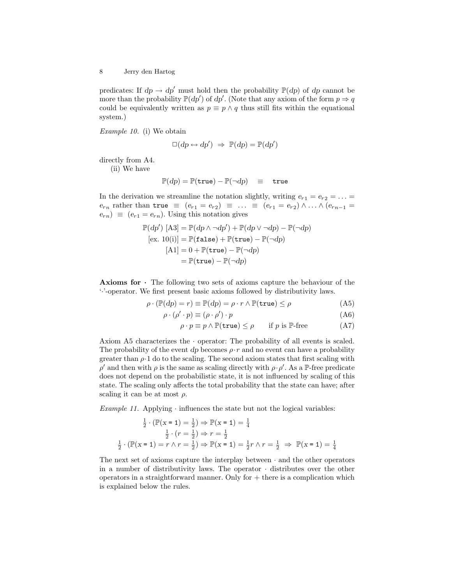predicates: If  $dp \to dp'$  must hold then the probability  $\mathbb{P}(dp)$  of dp cannot be more than the probability  $\mathbb{P}(dp')$  of  $dp'$ . (Note that any axiom of the form  $p \Rightarrow q$ could be equivalently written as  $p \equiv p \wedge q$  thus still fits within the equational system.)

Example 10. (i) We obtain

$$
\Box(dp \leftrightarrow dp') \Rightarrow \mathbb{P}(dp) = \mathbb{P}(dp')
$$

directly from A4.

(ii) We have

$$
\mathbb{P}(dp) = \mathbb{P}(\mathtt{true}) - \mathbb{P}(\neg dp) \equiv \mathtt{true}
$$

In the derivation we streamline the notation slightly, writing  $e_{r1} = e_{r2} = \ldots =$  $e_{r_n}$  rather than  $true \equiv (e_{r1} = e_{r2}) \equiv \ldots \equiv (e_{r1} = e_{r2}) \wedge \ldots \wedge (e_{r_{n-1}} =$  $(e_{r n}) \equiv (e_{r 1} = e_{r n})$ . Using this notation gives

$$
\mathbb{P}(dp') \ [\mathbf{A3}] = \mathbb{P}(dp \land \neg dp') + \mathbb{P}(dp \lor \neg dp) - \mathbb{P}(\neg dp)
$$

$$
[\mathbf{ex. 10(i)}] = \mathbb{P}(\mathbf{false}) + \mathbb{P}(\mathbf{true}) - \mathbb{P}(\neg dp)
$$

$$
[\mathbf{A1}] = 0 + \mathbb{P}(\mathbf{true}) - \mathbb{P}(\neg dp)
$$

$$
= \mathbb{P}(\mathbf{true}) - \mathbb{P}(\neg dp)
$$

Axioms for · The following two sets of axioms capture the behaviour of the '·'-operator. We first present basic axioms followed by distributivity laws.

$$
\rho \cdot (\mathbb{P}(dp) = r) \equiv \mathbb{P}(dp) = \rho \cdot r \wedge \mathbb{P}(\text{true}) \le \rho \tag{A5}
$$

$$
\rho \cdot (\rho' \cdot p) \equiv (\rho \cdot \rho') \cdot p \tag{A6}
$$

$$
\rho \cdot p \equiv p \land \mathbb{P}(\text{true}) \le \rho \qquad \text{if } p \text{ is } \mathbb{P}\text{-free} \tag{A7}
$$

Axiom A5 characterizes the · operator: The probability of all events is scaled. The probability of the event dp becomes  $\rho \cdot r$  and no event can have a probability greater than  $\rho \cdot 1$  do to the scaling. The second axiom states that first scaling with  $\rho'$  and then with  $\rho$  is the same as scaling directly with  $\rho \cdot \rho'$ . As a P-free predicate does not depend on the probabilistic state, it is not influenced by scaling of this state. The scaling only affects the total probability that the state can have; after scaling it can be at most  $\rho$ .

Example 11. Applying  $\cdot$  influences the state but not the logical variables:

$$
\frac{1}{2} \cdot (\mathbb{P}(\mathbf{x} = 1) = \frac{1}{2}) \Rightarrow \mathbb{P}(\mathbf{x} = 1) = \frac{1}{4}
$$

$$
\frac{1}{2} \cdot (r = \frac{1}{2}) \Rightarrow r = \frac{1}{2}
$$

$$
\frac{1}{2} \cdot (\mathbb{P}(\mathbf{x} = 1) = r \land r = \frac{1}{2}) \Rightarrow \mathbb{P}(\mathbf{x} = 1) = \frac{1}{2}r \land r = \frac{1}{2} \Rightarrow \mathbb{P}(\mathbf{x} = 1) = \frac{1}{4}
$$

The next set of axioms capture the interplay between  $\cdot$  and the other operators in a number of distributivity laws. The operator  $\cdot$  distributes over the other operators in a straightforward manner. Only for  $+$  there is a complication which is explained below the rules.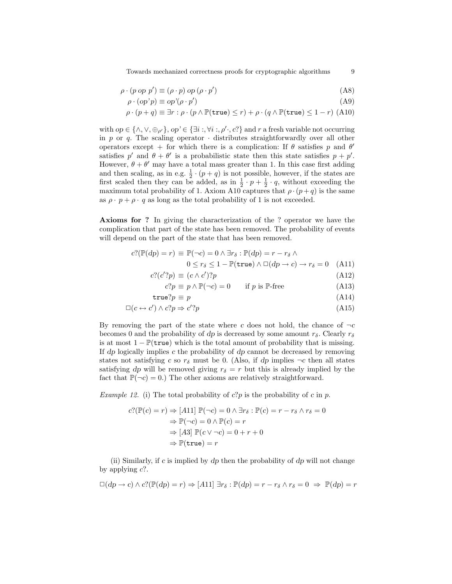Towards mechanized correctness proofs for cryptographic algorithms 9

$$
\rho \cdot (p \text{ op } p') \equiv (\rho \cdot p) \text{ op } (\rho \cdot p') \tag{A8}
$$

$$
\rho \cdot (op'p) \equiv op'(\rho \cdot p') \tag{A9}
$$

$$
\rho \cdot (p+q) \equiv \exists r : \rho \cdot (p \wedge \mathbb{P}(\texttt{true}) \le r) + \rho \cdot (q \wedge \mathbb{P}(\texttt{true}) \le 1-r) \tag{A10}
$$

with  $op \in {\wedge, \vee, \oplus_{\rho'}}$ ,  $op \in {\exists i :, \forall i :, \rho', c'}$  and r a fresh variable not occurring in p or q. The scaling operator  $\cdot$  distributes straightforwardly over all other operators except + for which there is a complication: If  $\theta$  satisfies p and  $\theta'$ satisfies p' and  $\theta + \theta'$  is a probabilistic state then this state satisfies  $p + p'$ . However,  $\theta + \theta'$  may have a total mass greater than 1. In this case first adding and then scaling, as in e.g.  $\frac{1}{2} \cdot (p+q)$  is not possible, however, if the states are first scaled then they can be added, as in  $\frac{1}{2} \cdot p + \frac{1}{2} \cdot q$ , without exceeding the maximum total probability of 1. Axiom A10 captures that  $\rho \cdot (p+q)$  is the same as  $\rho \cdot p + \rho \cdot q$  as long as the total probability of 1 is not exceeded.

Axioms for ? In giving the characterization of the ? operator we have the complication that part of the state has been removed. The probability of events will depend on the part of the state that has been removed.

$$
c?(\mathbb{P}(dp) = r) \equiv \mathbb{P}(\neg c) = 0 \land \exists r_{\delta} : \mathbb{P}(dp) = r - r_{\delta} \land 0 \le r_{\delta} \le 1 - \mathbb{P}(\text{true}) \land \Box(dp \to c) \to r_{\delta} = 0 \quad \text{(A11)}
$$

$$
c? (c'?p) \equiv (c \wedge c')?p \tag{A12}
$$

$$
c?p \equiv p \land \mathbb{P}(\neg c) = 0 \qquad \text{if } p \text{ is } \mathbb{P}\text{-free} \tag{A13}
$$

$$
true?p \equiv p \tag{A14}
$$

$$
\Box(c \leftrightarrow c') \land c?p \Rightarrow c'?p \tag{A15}
$$

By removing the part of the state where c does not hold, the chance of  $\neg c$ becomes 0 and the probability of dp is decreased by some amount  $r_{\delta}$ . Clearly  $r_{\delta}$ is at most  $1 - \mathbb{P}(\text{true})$  which is the total amount of probability that is missing. If  $dp$  logically implies c the probability of  $dp$  cannot be decreased by removing states not satisfying c so  $r_{\delta}$  must be 0. (Also, if dp implies  $\neg c$  then all states satisfying dp will be removed giving  $r_{\delta} = r$  but this is already implied by the fact that  $\mathbb{P}(\neg c) = 0$ .) The other axioms are relatively straightforward.

*Example 12.* (i) The total probability of  $c$ ?*p* is the probability of  $c$  in  $p$ .

$$
c?(\mathbb{P}(c) = r) \Rightarrow [A11] \mathbb{P}(\neg c) = 0 \land \exists r_{\delta} : \mathbb{P}(c) = r - r_{\delta} \land r_{\delta} = 0
$$

$$
\Rightarrow \mathbb{P}(\neg c) = 0 \land \mathbb{P}(c) = r
$$

$$
\Rightarrow [A3] \mathbb{P}(c \lor \neg c) = 0 + r + 0
$$

$$
\Rightarrow \mathbb{P}(\text{true}) = r
$$

(ii) Similarly, if c is implied by  $dp$  then the probability of  $dp$  will not change by applying  $c$ ?.

$$
\Box(dp \to c) \land c?(\mathbb{P}(dp) = r) \Rightarrow [A11] \exists r_{\delta} : \mathbb{P}(dp) = r - r_{\delta} \land r_{\delta} = 0 \Rightarrow \mathbb{P}(dp) = r
$$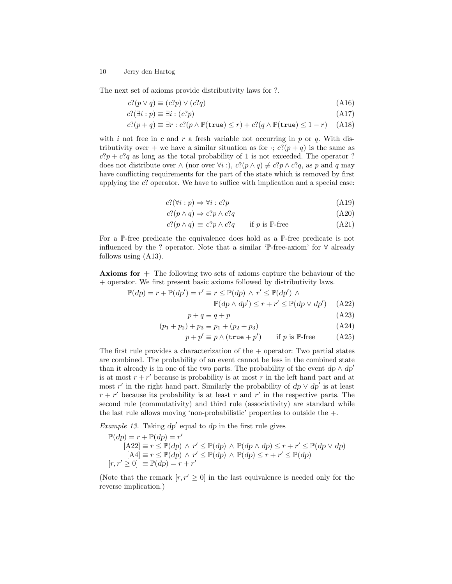The next set of axioms provide distributivity laws for ?.

$$
c?(p \lor q) \equiv (c?p) \lor (c?q) \tag{A16}
$$

$$
c?(\exists i:p) \equiv \exists i:(c?p) \tag{A17}
$$

$$
c?(p+q) \equiv \exists r : c?(p \land \mathbb{P}(\text{true}) \le r) + c?(q \land \mathbb{P}(\text{true}) \le 1-r) \quad (A18)
$$

with i not free in c and r a fresh variable not occurring in p or q. With distributivity over + we have a similar situation as for  $\cdot$ ;  $c?((p+q))$  is the same as  $c?p + c?q$  as long as the total probability of 1 is not exceeded. The operator ? does not distribute over  $\wedge$  (nor over  $\forall i$  :),  $c?((p \wedge q) \not\equiv c?p \wedge c?q$ , as p and q may have conflicting requirements for the part of the state which is removed by first applying the c? operator. We have to suffice with implication and a special case:

$$
c?(\forall i:p) \Rightarrow \forall i:c?p \tag{A19}
$$

$$
c?(p \land q) \Rightarrow c?p \land c?q \tag{A20}
$$

$$
c?(p \land q) \equiv c?p \land c?q \qquad \text{if } p \text{ is } \mathbb{P}\text{-free} \tag{A21}
$$

For a P-free predicate the equivalence does hold as a P-free predicate is not influenced by the ? operator. Note that a similar 'P-free-axiom' for ∀ already follows using (A13).

Axioms for + The following two sets of axioms capture the behaviour of the + operator. We first present basic axioms followed by distributivity laws.

$$
\mathbb{P}(dp) = r + \mathbb{P}(dp') = r' \equiv r \le \mathbb{P}(dp) \land r' \le \mathbb{P}(dp') \land \mathbb{P}(dp \land dp') \le r + r' \le \mathbb{P}(dp \lor dp') \quad (A22)
$$

$$
p + q \equiv q + p \tag{A23}
$$

$$
(p_1 + p_2) + p_3 \equiv p_1 + (p_2 + p_3) \tag{A24}
$$

$$
p + p' \equiv p \land (\text{true} + p') \qquad \text{if } p \text{ is } \mathbb{P}\text{-free} \tag{A25}
$$

The first rule provides a characterization of the  $+$  operator: Two partial states are combined. The probability of an event cannot be less in the combined state than it already is in one of the two parts. The probability of the event  $dp \wedge dp'$ is at most  $r + r'$  because is probability is at most r in the left hand part and at most r' in the right hand part. Similarly the probability of  $dp \vee dp'$  is at least  $r + r'$  because its probability is at least r and r' in the respective parts. The second rule (commutativity) and third rule (associativity) are standard while the last rule allows moving 'non-probabilistic' properties to outside the +.

*Example 13.* Taking  $dp'$  equal to  $dp$  in the first rule gives

$$
\mathbb{P}(dp) = r + \mathbb{P}(dp) = r'
$$
  
\n[A22]  $\equiv r \le \mathbb{P}(dp) \land r' \le \mathbb{P}(dp) \land \mathbb{P}(dp \land dp) \le r + r' \le \mathbb{P}(dp \lor dp)$   
\n[A4]  $\equiv r \le \mathbb{P}(dp) \land r' \le \mathbb{P}(dp) \land \mathbb{P}(dp) \le r + r' \le \mathbb{P}(dp)$   
\n $[r, r' \ge 0] \equiv \mathbb{P}(dp) = r + r'$ 

(Note that the remark  $[r, r' \geq 0]$  in the last equivalence is needed only for the reverse implication.)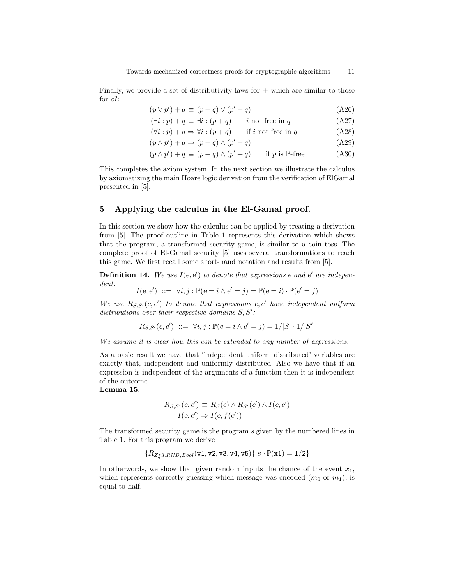Finally, we provide a set of distributivity laws for  $+$  which are similar to those for  $c$ ?:

$$
(p \lor p') + q \equiv (p + q) \lor (p' + q) \tag{A26}
$$

$$
(\exists i : p) + q \equiv \exists i : (p + q) \qquad i \text{ not free in } q \tag{A27}
$$

 $(\forall i : p) + q \Rightarrow \forall i : (p + q)$  if i not free in q (A28)

$$
(p \wedge p') + q \Rightarrow (p + q) \wedge (p' + q) \tag{A29}
$$

$$
(p \wedge p') + q \equiv (p + q) \wedge (p' + q) \quad \text{if } p \text{ is } \mathbb{P}\text{-free} \tag{A30}
$$

This completes the axiom system. In the next section we illustrate the calculus by axiomatizing the main Hoare logic derivation from the verification of ElGamal presented in [5].

### 5 Applying the calculus in the El-Gamal proof.

In this section we show how the calculus can be applied by treating a derivation from [5]. The proof outline in Table 1 represents this derivation which shows that the program, a transformed security game, is similar to a coin toss. The complete proof of El-Gamal security [5] uses several transformations to reach this game. We first recall some short-hand notation and results from [5].

**Definition 14.** We use  $I(e, e')$  to denote that expressions e and  $e'$  are independent:

$$
I(e, e') ::= \forall i, j : \mathbb{P}(e = i \land e' = j) = \mathbb{P}(e = i) \cdot \mathbb{P}(e' = j)
$$

We use  $R_{S,S'}(e,e')$  to denote that expressions e, e' have independent uniform distributions over their respective domains  $S, S'$ :

$$
R_{S,S'}(e,e') ::= \forall i,j : \mathbb{P}(e = i \land e' = j) = 1/|S| \cdot 1/|S'|
$$

We assume it is clear how this can be extended to any number of expressions.

As a basic result we have that 'independent uniform distributed' variables are exactly that, independent and uniformly distributed. Also we have that if an expression is independent of the arguments of a function then it is independent of the outcome.

Lemma 15.

$$
R_{S,S'}(e,e') \equiv R_S(e) \land R_{S'}(e') \land I(e,e')
$$
  

$$
I(e,e') \Rightarrow I(e,f(e'))
$$

The transformed security game is the program s given by the numbered lines in Table 1. For this program we derive

$$
\{R_{Z_q^*3,RND,Bool}(v1,v2,v3,v4,v5)\} \ s \ \{\mathbb{P}(x1)=1/2\}
$$

In otherwords, we show that given random inputs the chance of the event  $x_1$ , which represents correctly guessing which message was encoded  $(m_0 \text{ or } m_1)$ , is equal to half.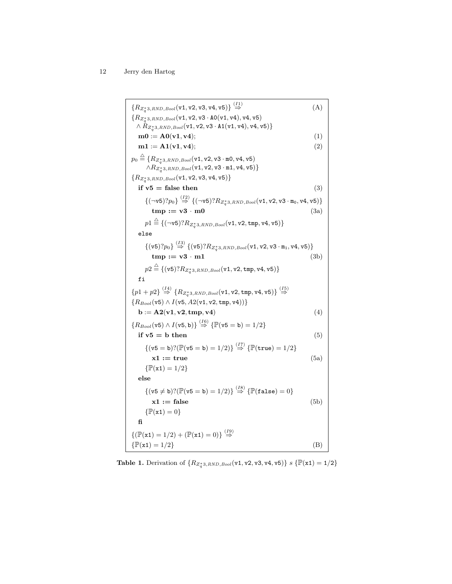$\{R_{Z_q^*3, RND, Bool}(\texttt{v1}, \texttt{v2}, \texttt{v3}, \texttt{v4}, \texttt{v5})\} \stackrel{(I1)}{\Rightarrow}$  (A)  $\{R_{Z^*_q3,RND,Bool}(\mathtt{v1},\mathtt{v2},\mathtt{v3} \cdot \mathtt{A0}(\mathtt{v1},\mathtt{v4}),\mathtt{v4},\mathtt{v5})$  $\land$   $R_{Z_q^*3,RND,Bool}({\tt v1,v2,v3} \cdot {\tt A1(v1,v4)}, {\tt v4,v5})\}$  $m0 := A0(v1, v4);$  (1)  $m1 := A1(v1, v4);$  (2)  $p_0\stackrel{\triangle}{=} \{R_{Z_q^*3,RND,Bool}({\tt v1},{\tt v2},{\tt v3\cdot m0},{\tt v4},{\tt v5})$  $\land R_{Z_q^*3,RND,Bool}({\tt v1,v2,v3 \cdot m1,v4,v5})\}$  $\{R_{Z_q^*3,RND,Bool}({\tt v1,v2,v3,v4,v5})\}$ if  $v5 = false$  then (3)  ${(\neg \texttt{v5})? p_0} \overset{(I2)}{\Rightarrow} {(\neg \texttt{v5})? R_{Z^*_q3,RND,Bool}(\texttt{v1},\texttt{v2},\texttt{v3} \cdot \texttt{m}_0, \texttt{v4},\texttt{v5})}$  $\text{tmp} := \text{v3} \cdot \text{m0}$  (3a)  $p1 \stackrel{\triangle}{=} \{(\neg \mathtt{v5}) ? R_{Z^*_q3,RND,Bool}(\mathtt{v1},\mathtt{v2},\mathtt{tmp},\mathtt{v4},\mathtt{v5})\}$ else  $\{(\mathtt{v5}) ? p_0\} \stackrel{(I3)}{\Rightarrow} \{(\mathtt{v5}) ? R_{Z^*_q3,RND,Bool} (\mathtt{v1},\mathtt{v2},\mathtt{v3} \cdot \mathtt{m_1},\mathtt{v4},\mathtt{v5})\}$  $\text{tmp} := \text{v3} \cdot \text{m1}$  (3b)  $p2 \stackrel{\triangle}{=} \{(\mathtt{v5}) ? R_{Z_q^{\ast}3,RND,Bool}(\mathtt{v1},\mathtt{v2},\mathtt{tmp},\mathtt{v4},\mathtt{v5})\}$ fi  $\{p1 + p2\} \stackrel{(I4)}{\Rightarrow} \{R_{Z_q^*3,RND,Bool}({\tt v1},{\tt v2},{\tt tmp},{\tt v4},{\tt v5})\} \stackrel{(I5)}{\Rightarrow}$  ${R_{Bool}(\texttt{v5}) \wedge I(\texttt{v5}, A2(\texttt{v1}, \texttt{v2}, \texttt{tmp}, \texttt{v4}))}$  $\mathbf{b} := \mathbf{A2}(\mathbf{v1}, \mathbf{v2}, \mathbf{tmp}, \mathbf{v4})$  (4)  ${R_{Bool}(\texttt{v5}) \wedge I(\texttt{v5},\texttt{b})} \overset{(I6)}{\Rightarrow} {[\mathbb{P}(\texttt{v5}=\texttt{b})=1/2]}$ if  $v5 = b$  then (5)  $\{(\text{v5 = b})?(\mathbb{P}(\text{v5 = b}) = 1/2)\}\overset{(17)}{\Rightarrow} \{\mathbb{P}(\text{true}) = 1/2\}$  $x1 := true$  (5a)  $\{ \mathbb{P}(\mathtt{x1}) = 1/2 \}$ else  $\{(\mathtt{v5} \neq \mathtt{b})?(\mathbb{P}(\mathtt{v5}=\mathtt{b})=1/2)\}\stackrel{(I8)}{\Rightarrow} \{\mathbb{P}(\mathtt{false})=0\}$  $x1 := false$  (5b)  $\{\mathbb{P}(\mathbf{x1}) = 0\}$ fi  $\{(\mathbb{P}(\mathbf{x1}) = 1/2) + (\mathbb{P}(\mathbf{x1}) = 0)\}\stackrel{(19)}{\Rightarrow}$  $\{\mathbb{P}(\mathbf{x1}) = 1/2\}$  (B)

**Table 1.** Derivation of  $\{R_{Z_q^*3,RND,Bool}(\texttt{v1}, \texttt{v2}, \texttt{v3}, \texttt{v4}, \texttt{v5})\}$  s  $\{\mathbb{P}(\texttt{x1}) = 1/2\}$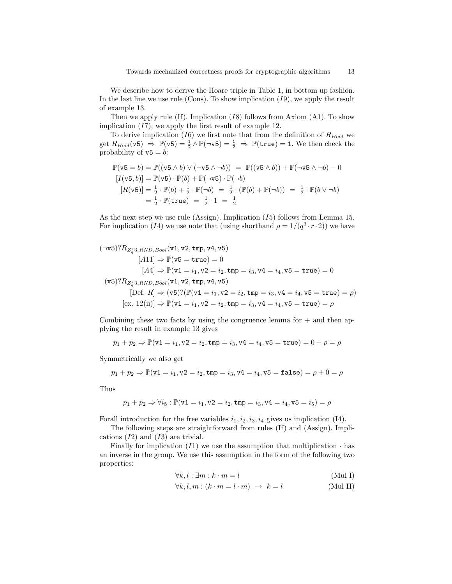We describe how to derive the Hoare triple in Table 1, in bottom up fashion. In the last line we use rule (Cons). To show implication  $(I9)$ , we apply the result of example 13.

Then we apply rule  $(If)$ . Implication  $(I8)$  follows from Axiom  $(A1)$ . To show implication  $(17)$ , we apply the first result of example 12.

To derive implication (I6) we first note that from the definition of  $R_{Bool}$  we get  $R_{Bool}(\mathtt{v5}) \Rightarrow \mathbb{P}(\mathtt{v5}) = \frac{1}{2} \wedge \mathbb{P}(\neg \mathtt{v5}) = \frac{1}{2} \Rightarrow \mathbb{P}(\mathtt{true}) = 1$ . We then check the probability of  $v5 = b$ :

$$
\mathbb{P}(v5 = b) = \mathbb{P}((v5 \land b) \lor (\neg v5 \land \neg b)) = \mathbb{P}((v5 \land b)) + \mathbb{P}(\neg v5 \land \neg b) - 0
$$
  
\n
$$
[I(v5, b)] = \mathbb{P}(v5) \cdot \mathbb{P}(b) + \mathbb{P}(\neg v5) \cdot \mathbb{P}(\neg b)
$$
  
\n
$$
[R(v5)] = \frac{1}{2} \cdot \mathbb{P}(b) + \frac{1}{2} \cdot \mathbb{P}(\neg b) = \frac{1}{2} \cdot (\mathbb{P}(b) + \mathbb{P}(\neg b)) = \frac{1}{2} \cdot \mathbb{P}(b \lor \neg b)
$$
  
\n
$$
= \frac{1}{2} \cdot \mathbb{P}(\text{true}) = \frac{1}{2} \cdot 1 = \frac{1}{2}
$$

As the next step we use rule (Assign). Implication  $(I5)$  follows from Lemma 15. For implication (I4) we use note that (using shorthand  $\rho = 1/(q^3 \cdot r \cdot 2)$ ) we have

$$
(\neg \text{v5})?R_{Z_4^*3, RND, Bool}(\text{v1}, \text{v2}, \text{tmp}, \text{v4}, \text{v5})
$$
  
\n
$$
[A11] \Rightarrow \mathbb{P}(\text{v5} = \text{true}) = 0
$$
  
\n
$$
[A4] \Rightarrow \mathbb{P}(\text{v1} = i_1, \text{v2} = i_2, \text{tmp} = i_3, \text{v4} = i_4, \text{v5} = \text{true}) = 0
$$
  
\n
$$
(\text{v5})?R_{Z_4^*3, RND, Bool}(\text{v1}, \text{v2}, \text{tmp}, \text{v4}, \text{v5})
$$
  
\n
$$
[Def. R] \Rightarrow (\text{v5})?(\mathbb{P}(\text{v1} = i_1, \text{v2} = i_2, \text{tmp} = i_3, \text{v4} = i_4, \text{v5} = \text{true}) = \rho)
$$
  
\n
$$
[ex. 12(\text{ii})] \Rightarrow \mathbb{P}(\text{v1} = i_1, \text{v2} = i_2, \text{tmp} = i_3, \text{v4} = i_4, \text{v5} = \text{true}) = \rho
$$

Combining these two facts by using the congruence lemma for  $+$  and then applying the result in example 13 gives

$$
p_1 + p_2 \Rightarrow \mathbb{P}(\mathtt{v1}=i_1, \mathtt{v2}=i_2, \mathtt{tmp}=i_3, \mathtt{v4}=i_4, \mathtt{v5}=\mathtt{true})=0+\rho=\rho
$$

Symmetrically we also get

$$
p_1 + p_2 \Rightarrow \mathbb{P}(\mathtt{v1} = i_1, \mathtt{v2} = i_2, \mathtt{tmp} = i_3, \mathtt{v4} = i_4, \mathtt{v5} = \mathtt{false}) = \rho + 0 = \rho
$$

Thus

$$
p_1 + p_2 \Rightarrow \forall i_5 : \mathbb{P}(\mathtt{v1} = i_1, \mathtt{v2} = i_2, \mathtt{tmp} = i_3, \mathtt{v4} = i_4, \mathtt{v5} = i_5) = \rho
$$

Forall introduction for the free variables  $i_1, i_2, i_3, i_4$  gives us implication (I4).

The following steps are straightforward from rules (If) and (Assign). Implications  $(I2)$  and  $(I3)$  are trivial.

Finally for implication  $(I1)$  we use the assumption that multiplication  $\cdot$  has an inverse in the group. We use this assumption in the form of the following two properties:

$$
\forall k, l : \exists m : k \cdot m = l \tag{Mul I}
$$

$$
\forall k, l, m : (k \cdot m = l \cdot m) \rightarrow k = l \tag{Mul II}
$$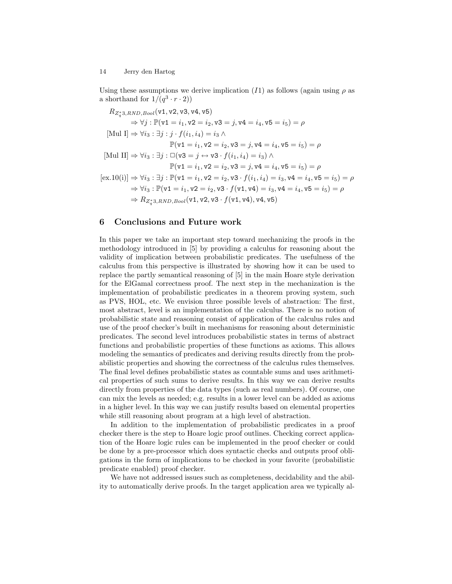Using these assumptions we derive implication (I1) as follows (again using  $\rho$  as a shorthand for  $1/(q^3 \cdot r \cdot 2))$ 

$$
R_{Z_{q}^{*3},RND,Bool}(\mathbf{v1},\mathbf{v2},\mathbf{v3},\mathbf{v4},\mathbf{v5})
$$
  
\n
$$
\Rightarrow \forall j : \mathbb{P}(\mathbf{v1} = i_1, \mathbf{v2} = i_2, \mathbf{v3} = j, \mathbf{v4} = i_4, \mathbf{v5} = i_5) = \rho
$$
  
\n[Mul I] 
$$
\Rightarrow \forall i_3 : \exists j : j \cdot f(i_1, i_4) = i_3 \land
$$
  
\n
$$
\mathbb{P}(\mathbf{v1} = i_1, \mathbf{v2} = i_2, \mathbf{v3} = j, \mathbf{v4} = i_4, \mathbf{v5} = i_5) = \rho
$$
  
\n[Mul II] 
$$
\Rightarrow \forall i_3 : \exists j : \Box(\mathbf{v3} = j \leftrightarrow \mathbf{v3} \cdot f(i_1, i_4) = i_3) \land
$$
  
\n
$$
\mathbb{P}(\mathbf{v1} = i_1, \mathbf{v2} = i_2, \mathbf{v3} = j, \mathbf{v4} = i_4, \mathbf{v5} = i_5) = \rho
$$
  
\n[ex.10(i)] 
$$
\Rightarrow \forall i_3 : \exists j : \mathbb{P}(\mathbf{v1} = i_1, \mathbf{v2} = i_2, \mathbf{v3} \cdot f(i_1, i_4) = i_3, \mathbf{v4} = i_4, \mathbf{v5} = i_5) = \rho
$$
  
\n
$$
\Rightarrow \forall i_3 : \mathbb{P}(\mathbf{v1} = i_1, \mathbf{v2} = i_2, \mathbf{v3} \cdot f(\mathbf{v1}, \mathbf{v4}) = i_3, \mathbf{v4} = i_4, \mathbf{v5} = i_5) = \rho
$$
  
\n
$$
\Rightarrow R_{Z_{q}^{*3},RND,Bool}(\mathbf{v1}, \mathbf{v2}, \mathbf{v3} \cdot f(\mathbf{v1}, \mathbf{v4}), \mathbf{v4}, \mathbf{v5})
$$

# 6 Conclusions and Future work

In this paper we take an important step toward mechanizing the proofs in the methodology introduced in [5] by providing a calculus for reasoning about the validity of implication between probabilistic predicates. The usefulness of the calculus from this perspective is illustrated by showing how it can be used to replace the partly semantical reasoning of [5] in the main Hoare style derivation for the ElGamal correctness proof. The next step in the mechanization is the implementation of probabilistic predicates in a theorem proving system, such as PVS, HOL, etc. We envision three possible levels of abstraction: The first, most abstract, level is an implementation of the calculus. There is no notion of probabilistic state and reasoning consist of application of the calculus rules and use of the proof checker's built in mechanisms for reasoning about deterministic predicates. The second level introduces probabilistic states in terms of abstract functions and probabilistic properties of these functions as axioms. This allows modeling the semantics of predicates and deriving results directly from the probabilistic properties and showing the correctness of the calculus rules themselves. The final level defines probabilistic states as countable sums and uses arithmetical properties of such sums to derive results. In this way we can derive results directly from properties of the data types (such as real numbers). Of course, one can mix the levels as needed; e.g. results in a lower level can be added as axioms in a higher level. In this way we can justify results based on elemental properties while still reasoning about program at a high level of abstraction.

In addition to the implementation of probabilistic predicates in a proof checker there is the step to Hoare logic proof outlines. Checking correct application of the Hoare logic rules can be implemented in the proof checker or could be done by a pre-processor which does syntactic checks and outputs proof obligations in the form of implications to be checked in your favorite (probabilistic predicate enabled) proof checker.

We have not addressed issues such as completeness, decidability and the ability to automatically derive proofs. In the target application area we typically al